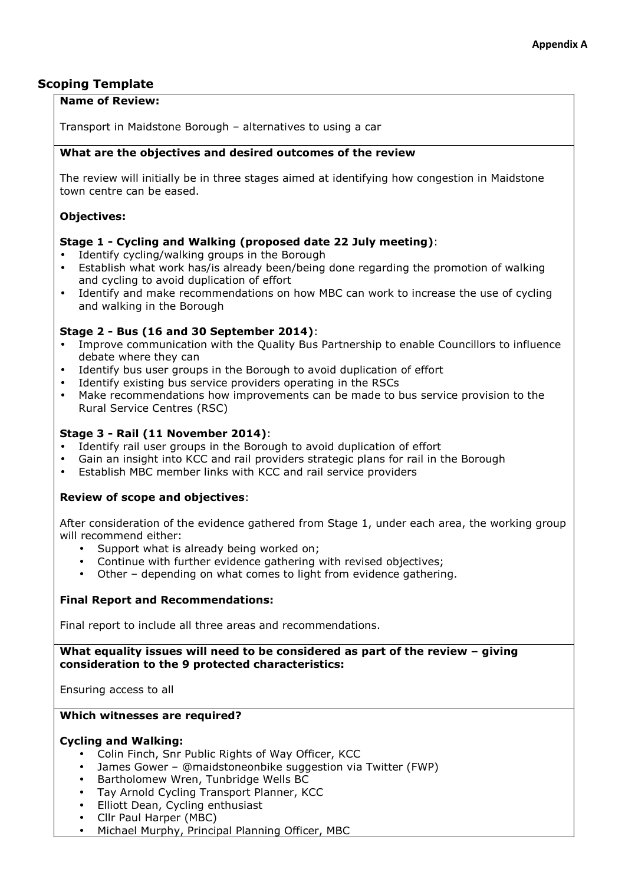# **Scoping Template**

### **Name of Review:**

Transport in Maidstone Borough – alternatives to using a car

# **What are the objectives and desired outcomes of the review**

The review will initially be in three stages aimed at identifying how congestion in Maidstone town centre can be eased.

# **Objectives:**

# **Stage 1 - Cycling and Walking (proposed date 22 July meeting)**:

- Identify cycling/walking groups in the Borough
- Establish what work has/is already been/being done regarding the promotion of walking and cycling to avoid duplication of effort
- Identify and make recommendations on how MBC can work to increase the use of cycling and walking in the Borough

# **Stage 2 - Bus (16 and 30 September 2014)**:

- Improve communication with the Quality Bus Partnership to enable Councillors to influence debate where they can
- Identify bus user groups in the Borough to avoid duplication of effort
- Identify existing bus service providers operating in the RSCs
- Make recommendations how improvements can be made to bus service provision to the Rural Service Centres (RSC)

# **Stage 3 - Rail (11 November 2014)**:

- Identify rail user groups in the Borough to avoid duplication of effort
- Gain an insight into KCC and rail providers strategic plans for rail in the Borough
- Establish MBC member links with KCC and rail service providers

### **Review of scope and objectives**:

After consideration of the evidence gathered from Stage 1, under each area, the working group will recommend either:

- Support what is already being worked on:
- Continue with further evidence gathering with revised objectives;
- Other depending on what comes to light from evidence gathering.

### **Final Report and Recommendations:**

Final report to include all three areas and recommendations.

### **What equality issues will need to be considered as part of the review – giving consideration to the 9 protected characteristics:**

Ensuring access to all

#### **Which witnesses are required?**

# **Cycling and Walking:**

- Colin Finch, Snr Public Rights of Way Officer, KCC
- James Gower @maidstoneonbike suggestion via Twitter (FWP)
- Bartholomew Wren, Tunbridge Wells BC
- Tay Arnold Cycling Transport Planner, KCC
- Elliott Dean, Cycling enthusiast
- Cllr Paul Harper (MBC)
- Michael Murphy, Principal Planning Officer, MBC